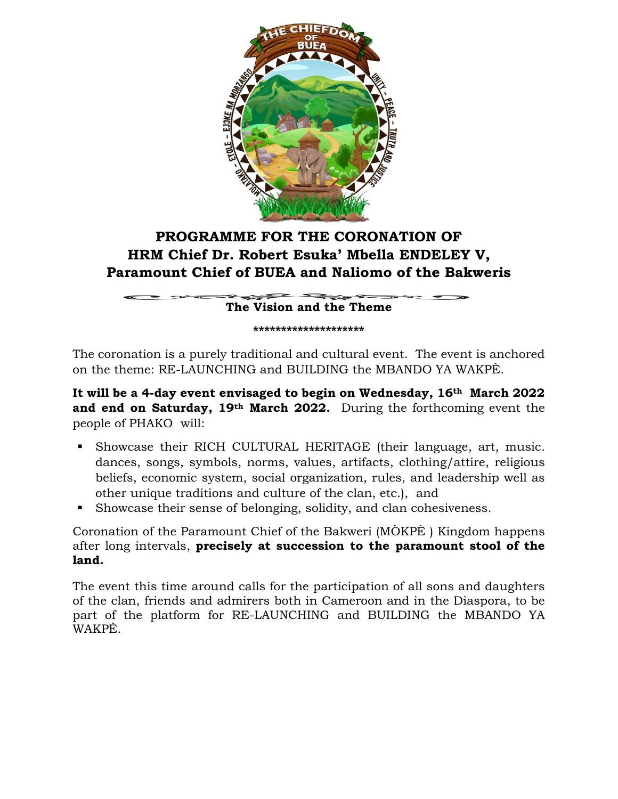

# **PROGRAMME FOR THE CORONATION OF HRM Chief Dr. Robert Esuka' Mbella ENDELEY V, Paramount Chief of BUEA and Naliomo of the Bakweris**

 $\mathcal{L}$  . The same of  $\mathcal{L}$ **The Vision and the Theme**

**\*\*\*\*\*\*\*\*\*\*\*\*\*\*\*\*\*\*\*\***

The coronation is a purely traditional and cultural event. The event is anchored on the theme: RE-LAUNCHING and BUILDING the MBANDO YA WAKPÈ.

**It will be a 4-day event envisaged to begin on Wednesday, 16th March 2022 and end on Saturday, 19th March 2022.** During the forthcoming event the people of PHAKO will:

- Showcase their RICH CULTURAL HERITAGE (their language, art, music. dances, songs, symbols, norms, values, artifacts, clothing/attire, religious beliefs, economic system, social organization, rules, and leadership well as other unique traditions and culture of the clan, etc.), and
- Showcase their sense of belonging, solidity, and clan cohesiveness.

Coronation of the Paramount Chief of the Bakweri (MÒKPÈ ) Kingdom happens after long intervals, **precisely at succession to the paramount stool of the land.**

The event this time around calls for the participation of all sons and daughters of the clan, friends and admirers both in Cameroon and in the Diaspora, to be part of the platform for RE-LAUNCHING and BUILDING the MBANDO YA WAKPÈ.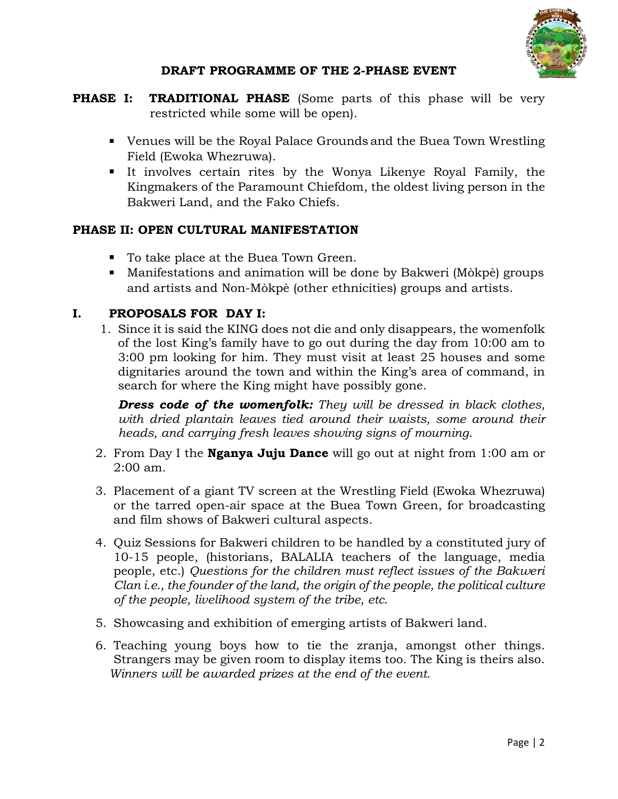

### **DRAFT PROGRAMME OF THE 2-PHASE EVENT**

- **PHASE I: TRADITIONAL PHASE** (Some parts of this phase will be very restricted while some will be open).
	- Venues will be the Royal Palace Grounds and the Buea Town Wrestling Field (Ewoka Whezruwa).
	- It involves certain rites by the Wonya Likenye Royal Family, the Kingmakers of the Paramount Chiefdom, the oldest living person in the Bakweri Land, and the Fako Chiefs.

## **PHASE II: OPEN CULTURAL MANIFESTATION**

- To take place at the Buea Town Green.
- Manifestations and animation will be done by Bakweri (Mòkpè) groups and artists and Non-Mòkpè (other ethnicities) groups and artists.

## **I. PROPOSALS FOR DAY I:**

1. Since it is said the KING does not die and only disappears, the womenfolk of the lost King's family have to go out during the day from 10:00 am to 3:00 pm looking for him. They must visit at least 25 houses and some dignitaries around the town and within the King's area of command, in search for where the King might have possibly gone.

*Dress code of the womenfolk: They will be dressed in black clothes, with dried plantain leaves tied around their waists, some around their heads, and carrying fresh leaves showing signs of mourning*.

- 2. From Day I the **Nganya Juju Dance** will go out at night from 1:00 am or 2:00 am.
- 3. Placement of a giant TV screen at the Wrestling Field (Ewoka Whezruwa) or the tarred open-air space at the Buea Town Green, for broadcasting and film shows of Bakweri cultural aspects.
- 4. Quiz Sessions for Bakweri children to be handled by a constituted jury of 10-15 people, (historians, BALALIA teachers of the language, media people, etc.) *Questions for the children must reflect issues of the Bakweri Clan i.e., the founder of the land, the origin of the people, the political culture of the people, livelihood system of the tribe, etc.*
- 5. Showcasing and exhibition of emerging artists of Bakweri land.
- 6. Teaching young boys how to tie the zranja, amongst other things. Strangers may be given room to display items too. The King is theirs also. *Winners will be awarded prizes at the end of the event.*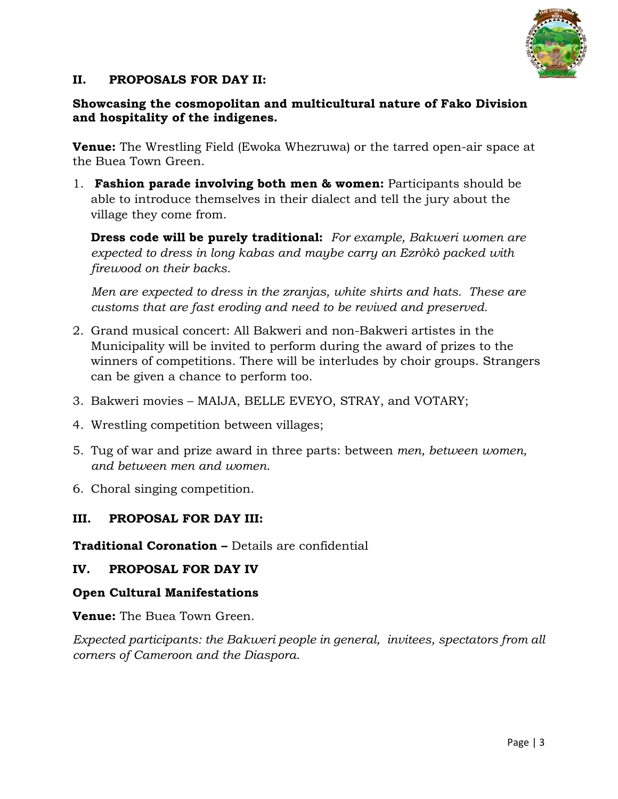

### **II. PROPOSALS FOR DAY II:**

### **Showcasing the cosmopolitan and multicultural nature of Fako Division and hospitality of the indigenes.**

**Venue:** The Wrestling Field (Ewoka Whezruwa) or the tarred open-air space at the Buea Town Green.

1. **Fashion parade involving both men & women:** Participants should be able to introduce themselves in their dialect and tell the jury about the village they come from.

**Dress code will be purely traditional:** *For example, Bakweri women are expected to dress in long kabas and maybe carry an Ezròkò packed with firewood on their backs.* 

*Men are expected to dress in the zranjas, white shirts and hats. These are customs that are fast eroding and need to be revived and preserved.*

- 2. Grand musical concert: All Bakweri and non-Bakweri artistes in the Municipality will be invited to perform during the award of prizes to the winners of competitions. There will be interludes by choir groups. Strangers can be given a chance to perform too.
- 3. Bakweri movies MAIJA, BELLE EVEYO, STRAY, and VOTARY;
- 4. Wrestling competition between villages;
- 5. Tug of war and prize award in three parts: between *men, between women, and between men and women*.
- 6. Choral singing competition.

#### **III. PROPOSAL FOR DAY III:**

**Traditional Coronation –** Details are confidential

#### **IV. PROPOSAL FOR DAY IV**

#### **Open Cultural Manifestations**

**Venue:** The Buea Town Green.

*Expected participants: the Bakweri people in general, invitees, spectators from all corners of Cameroon and the Diaspora.*